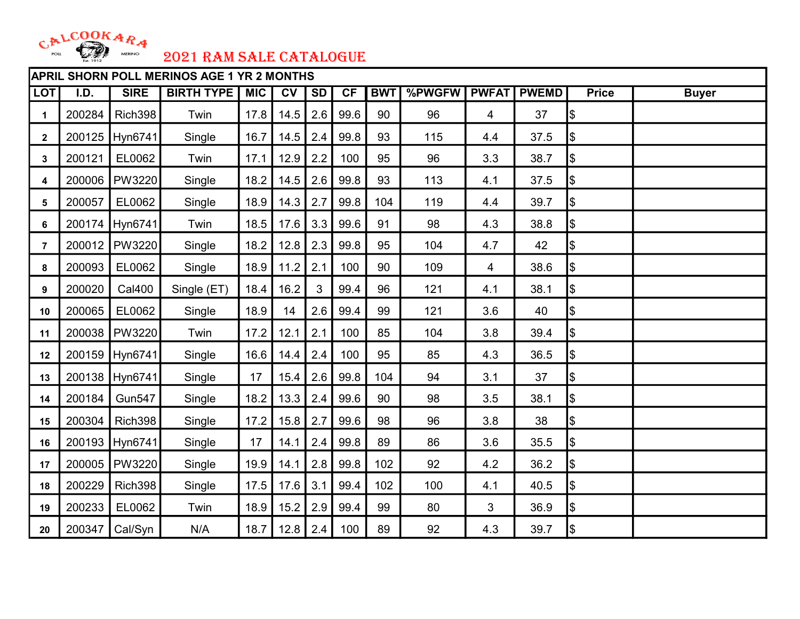

|                | <b>APRIL SHORN POLL MERINOS AGE 1 YR 2 MONTHS</b> |                |                   |            |                 |                |      |            |        |              |              |               |              |
|----------------|---------------------------------------------------|----------------|-------------------|------------|-----------------|----------------|------|------------|--------|--------------|--------------|---------------|--------------|
| <b>LOT</b>     | I.D.                                              | <b>SIRE</b>    | <b>BIRTH TYPE</b> | <b>MIC</b> | $\overline{CV}$ | SD             | CF   | <b>BWT</b> | %PWGFW | <b>PWFAT</b> | <b>PWEMD</b> | <b>Price</b>  | <b>Buyer</b> |
| 1              | 200284                                            | Rich398        | Twin              | 17.8       | 14.5            | 2.6            | 99.6 | 90         | 96     | 4            | 37           | Ι\$           |              |
| $\mathbf{2}$   | 200125                                            | Hyn6741        | Single            | 16.7       | 14.5            | 2.4            | 99.8 | 93         | 115    | 4.4          | 37.5         | Ι\$           |              |
| 3              | 200121                                            | EL0062         | Twin              | 17.1       | 12.9            | 2.2            | 100  | 95         | 96     | 3.3          | 38.7         | \$            |              |
| 4              | 200006                                            | PW3220         | Single            | 18.2       | 14.5            | 2.6            | 99.8 | 93         | 113    | 4.1          | 37.5         | \$            |              |
| 5              | 200057                                            | EL0062         | Single            | 18.9       | 14.3            | 2.7            | 99.8 | 104        | 119    | 4.4          | 39.7         | \$            |              |
| 6              | 200174                                            | Hyn6741        | Twin              | 18.5       | 17.6            | 3.3            | 99.6 | 91         | 98     | 4.3          | 38.8         | \$            |              |
| $\overline{7}$ | 200012                                            | PW3220         | Single            | 18.2       | 12.8            | 2.3            | 99.8 | 95         | 104    | 4.7          | 42           | \$            |              |
| 8              | 200093                                            | EL0062         | Single            | 18.9       | 11.2            | 2.1            | 100  | 90         | 109    | 4            | 38.6         | $\frac{1}{2}$ |              |
| 9              | 200020                                            | <b>Cal400</b>  | Single (ET)       | 18.4       | 16.2            | $\mathfrak{S}$ | 99.4 | 96         | 121    | 4.1          | 38.1         | \$            |              |
| 10             | 200065                                            | EL0062         | Single            | 18.9       | 14              | 2.6            | 99.4 | 99         | 121    | 3.6          | 40           | \$            |              |
| 11             | 200038                                            | PW3220         | Twin              | 17.2       | 12.1            | 2.1            | 100  | 85         | 104    | 3.8          | 39.4         | \$            |              |
| 12             | 200159                                            | Hyn6741        | Single            | 16.6       | 14.4            | 2.4            | 100  | 95         | 85     | 4.3          | 36.5         | Ι\$           |              |
| 13             |                                                   | 200138 Hyn6741 | Single            | 17         | 15.4            | 2.6            | 99.8 | 104        | 94     | 3.1          | 37           | Ι\$           |              |
| 14             | 200184                                            | <b>Gun547</b>  | Single            | 18.2       | 13.3            | 2.4            | 99.6 | 90         | 98     | 3.5          | 38.1         | \$            |              |
| 15             | 200304                                            | Rich398        | Single            | 17.2       | 15.8            | 2.7            | 99.6 | 98         | 96     | 3.8          | 38           | \$            |              |
| 16             |                                                   | 200193 Hyn6741 | Single            | 17         | 14.1            | 2.4            | 99.8 | 89         | 86     | 3.6          | 35.5         | \$            |              |
| 17             | 200005                                            | <b>PW3220</b>  | Single            | 19.9       | 14.1            | 2.8            | 99.8 | 102        | 92     | 4.2          | 36.2         | \$            |              |
| 18             | 200229                                            | Rich398        | Single            | 17.5       | 17.6            | 3.1            | 99.4 | 102        | 100    | 4.1          | 40.5         | \$            |              |
| 19             | 200233                                            | EL0062         | Twin              | 18.9       | 15.2            | 2.9            | 99.4 | 99         | 80     | 3            | 36.9         | \$            |              |
| 20             | 200347                                            | Cal/Syn        | N/A               | 18.7       | 12.8            | 2.4            | 100  | 89         | 92     | 4.3          | 39.7         | \$            |              |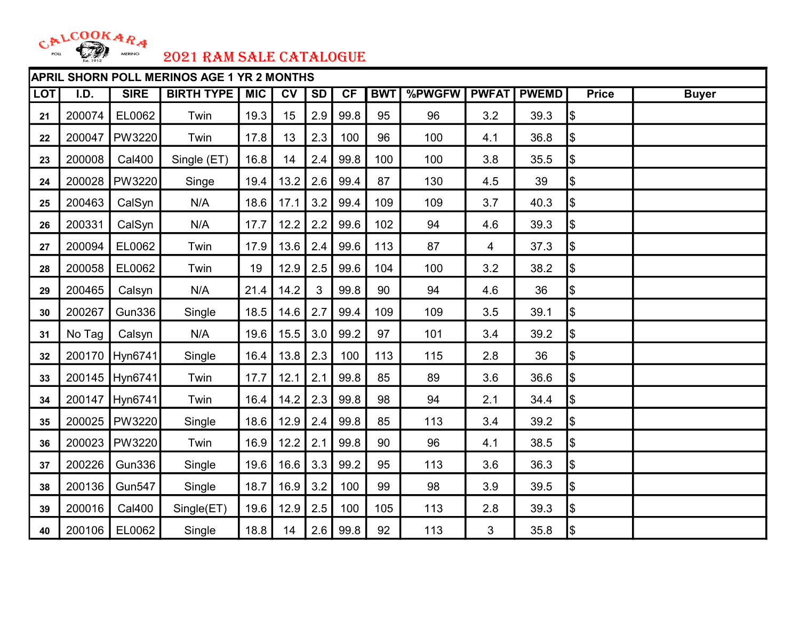

|            | <b>APRIL SHORN POLL MERINOS AGE 1 YR 2 MONTHS</b> |                |                   |            |                        |           |      |            |        |              |              |               |              |
|------------|---------------------------------------------------|----------------|-------------------|------------|------------------------|-----------|------|------------|--------|--------------|--------------|---------------|--------------|
| <b>LOT</b> | I.D.                                              | <b>SIRE</b>    | <b>BIRTH TYPE</b> | <b>MIC</b> | $\overline{\text{cv}}$ | <b>SD</b> | CF   | <b>BWT</b> | %PWGFW | <b>PWFAT</b> | <b>PWEMD</b> | <b>Price</b>  | <b>Buyer</b> |
| 21         | 200074                                            | EL0062         | Twin              | 19.3       | 15                     | 2.9       | 99.8 | 95         | 96     | 3.2          | 39.3         | Ι\$           |              |
| 22         | 200047                                            | PW3220         | Twin              | 17.8       | 13                     | 2.3       | 100  | 96         | 100    | 4.1          | 36.8         | \$            |              |
| 23         | 200008                                            | <b>Cal400</b>  | Single (ET)       | 16.8       | 14                     | 2.4       | 99.8 | 100        | 100    | 3.8          | 35.5         | \$            |              |
| 24         | 200028                                            | PW3220         | Singe             | 19.4       | 13.2                   | 2.6       | 99.4 | 87         | 130    | 4.5          | 39           | Ι\$           |              |
| 25         | 200463                                            | CalSyn         | N/A               | 18.6       | 17.1                   | 3.2       | 99.4 | 109        | 109    | 3.7          | 40.3         | \$            |              |
| 26         | 200331                                            | CalSyn         | N/A               | 17.7       | 12.2                   | 2.2       | 99.6 | 102        | 94     | 4.6          | 39.3         | Ι\$           |              |
| 27         | 200094                                            | EL0062         | Twin              | 17.9       | 13.6                   | 2.4       | 99.6 | 113        | 87     | 4            | 37.3         | \$            |              |
| 28         | 200058                                            | EL0062         | Twin              | 19         | 12.9                   | 2.5       | 99.6 | 104        | 100    | 3.2          | 38.2         | \$            |              |
| 29         | 200465                                            | Calsyn         | N/A               | 21.4       | 14.2                   | 3         | 99.8 | 90         | 94     | 4.6          | 36           | \$            |              |
| 30         | 200267                                            | <b>Gun336</b>  | Single            | 18.5       | 14.6                   | 2.7       | 99.4 | 109        | 109    | 3.5          | 39.1         | \$            |              |
| 31         | No Tag                                            | Calsyn         | N/A               | 19.6       | 15.5                   | 3.0       | 99.2 | 97         | 101    | 3.4          | 39.2         | \$            |              |
| 32         | 200170                                            | Hyn6741        | Single            | 16.4       | 13.8                   | 2.3       | 100  | 113        | 115    | 2.8          | 36           | $\frac{1}{2}$ |              |
| 33         |                                                   | 200145 Hyn6741 | Twin              | 17.7       | 12.1                   | 2.1       | 99.8 | 85         | 89     | 3.6          | 36.6         | \$            |              |
| 34         | 200147                                            | Hyn6741        | Twin              | 16.4       | 14.2                   | 2.3       | 99.8 | 98         | 94     | 2.1          | 34.4         | \$            |              |
| 35         | 200025                                            | <b>PW3220</b>  | Single            | 18.6       | 12.9                   | 2.4       | 99.8 | 85         | 113    | 3.4          | 39.2         | \$            |              |
| 36         | 200023                                            | PW3220         | Twin              | 16.9       | 12.2                   | 2.1       | 99.8 | 90         | 96     | 4.1          | 38.5         | $\frac{1}{2}$ |              |
| 37         | 200226                                            | <b>Gun336</b>  | Single            | 19.6       | 16.6                   | 3.3       | 99.2 | 95         | 113    | 3.6          | 36.3         | \$            |              |
| 38         | 200136                                            | <b>Gun547</b>  | Single            | 18.7       | 16.9                   | 3.2       | 100  | 99         | 98     | 3.9          | 39.5         | $\frac{1}{2}$ |              |
| 39         | 200016                                            | <b>Cal400</b>  | Single(ET)        | 19.6       | 12.9                   | 2.5       | 100  | 105        | 113    | 2.8          | 39.3         | \$            |              |
| 40         | 200106                                            | EL0062         | Single            | 18.8       | 14                     | 2.6       | 99.8 | 92         | 113    | 3            | 35.8         | \$            |              |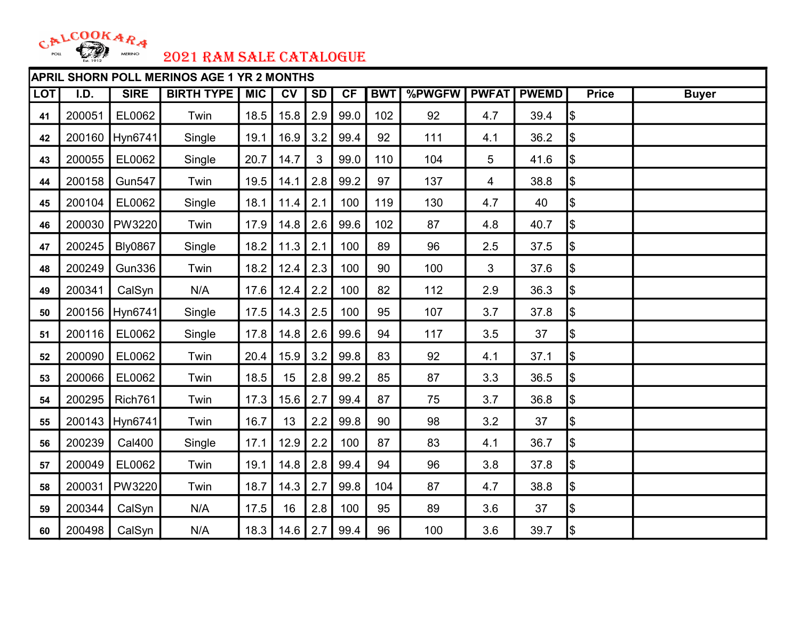

|            | <b>APRIL SHORN POLL MERINOS AGE 1 YR 2 MONTHS</b> |                |                   |            |      |           |      |            |        |                |              |               |              |
|------------|---------------------------------------------------|----------------|-------------------|------------|------|-----------|------|------------|--------|----------------|--------------|---------------|--------------|
| <b>LOT</b> | I.D.                                              | <b>SIRE</b>    | <b>BIRTH TYPE</b> | <b>MIC</b> | CV   | <b>SD</b> | CF   | <b>BWT</b> | %PWGFW | <b>PWFAT</b>   | <b>PWEMD</b> | <b>Price</b>  | <b>Buyer</b> |
| 41         | 200051                                            | EL0062         | Twin              | 18.5       | 15.8 | 2.9       | 99.0 | 102        | 92     | 4.7            | 39.4         | \$            |              |
| 42         |                                                   | 200160 Hyn6741 | Single            | 19.1       | 16.9 | 3.2       | 99.4 | 92         | 111    | 4.1            | 36.2         | \$            |              |
| 43         | 200055                                            | EL0062         | Single            | 20.7       | 14.7 | 3         | 99.0 | 110        | 104    | 5              | 41.6         | \$            |              |
| 44         | 200158                                            | <b>Gun547</b>  | Twin              | 19.5       | 14.1 | 2.8       | 99.2 | 97         | 137    | $\overline{4}$ | 38.8         | \$            |              |
| 45         | 200104                                            | EL0062         | Single            | 18.1       | 11.4 | 2.1       | 100  | 119        | 130    | 4.7            | 40           | \$            |              |
| 46         | 200030                                            | PW3220         | Twin              | 17.9       | 14.8 | 2.6       | 99.6 | 102        | 87     | 4.8            | 40.7         | Ι\$           |              |
| 47         | 200245                                            | <b>Bly0867</b> | Single            | 18.2       | 11.3 | 2.1       | 100  | 89         | 96     | 2.5            | 37.5         | Ι\$           |              |
| 48         | 200249                                            | <b>Gun336</b>  | Twin              | 18.2       | 12.4 | 2.3       | 100  | 90         | 100    | 3              | 37.6         | \$            |              |
| 49         | 200341                                            | CalSyn         | N/A               | 17.6       | 12.4 | 2.2       | 100  | 82         | 112    | 2.9            | 36.3         | \$            |              |
| 50         |                                                   | 200156 Hyn6741 | Single            | 17.5       | 14.3 | 2.5       | 100  | 95         | 107    | 3.7            | 37.8         | \$            |              |
| 51         | 200116                                            | EL0062         | Single            | 17.8       | 14.8 | 2.6       | 99.6 | 94         | 117    | 3.5            | 37           | Ι\$           |              |
| 52         | 200090                                            | EL0062         | Twin              | 20.4       | 15.9 | 3.2       | 99.8 | 83         | 92     | 4.1            | 37.1         | Ι\$           |              |
| 53         | 200066                                            | EL0062         | Twin              | 18.5       | 15   | 2.8       | 99.2 | 85         | 87     | 3.3            | 36.5         | Ι\$           |              |
| 54         | 200295                                            | Rich761        | Twin              | 17.3       | 15.6 | 2.7       | 99.4 | 87         | 75     | 3.7            | 36.8         | $\frac{1}{2}$ |              |
| 55         |                                                   | 200143 Hyn6741 | Twin              | 16.7       | 13   | 2.2       | 99.8 | 90         | 98     | 3.2            | 37           | Ι\$           |              |
| 56         | 200239                                            | Cal400         | Single            | 17.1       | 12.9 | 2.2       | 100  | 87         | 83     | 4.1            | 36.7         | \$            |              |
| 57         | 200049                                            | EL0062         | Twin              | 19.1       | 14.8 | 2.8       | 99.4 | 94         | 96     | 3.8            | 37.8         | \$            |              |
| 58         | 200031                                            | PW3220         | Twin              | 18.7       | 14.3 | 2.7       | 99.8 | 104        | 87     | 4.7            | 38.8         | \$            |              |
| 59         | 200344                                            | CalSyn         | N/A               | 17.5       | 16   | 2.8       | 100  | 95         | 89     | 3.6            | 37           | \$            |              |
| 60         | 200498                                            | CalSyn         | N/A               | 18.3       | 14.6 | 2.7       | 99.4 | 96         | 100    | 3.6            | 39.7         | \$            |              |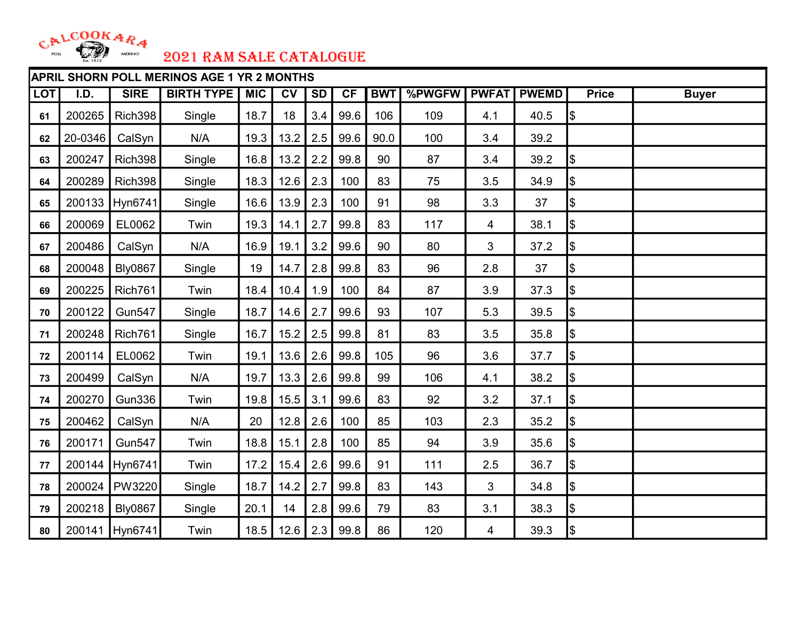

|            | <b>APRIL SHORN POLL MERINOS AGE 1 YR 2 MONTHS</b> |                |                   |            |      |           |      |            |        |              |              |               |              |
|------------|---------------------------------------------------|----------------|-------------------|------------|------|-----------|------|------------|--------|--------------|--------------|---------------|--------------|
| <b>LOT</b> | I.D.                                              | <b>SIRE</b>    | <b>BIRTH TYPE</b> | <b>MIC</b> | CV   | <b>SD</b> | CF   | <b>BWT</b> | %PWGFW | <b>PWFAT</b> | <b>PWEMD</b> | <b>Price</b>  | <b>Buyer</b> |
| 61         | 200265                                            | Rich398        | Single            | 18.7       | 18   | 3.4       | 99.6 | 106        | 109    | 4.1          | 40.5         | \$            |              |
| 62         | 20-0346                                           | CalSyn         | N/A               | 19.3       | 13.2 | 2.5       | 99.6 | 90.0       | 100    | 3.4          | 39.2         |               |              |
| 63         | 200247                                            | Rich398        | Single            | 16.8       | 13.2 | 2.2       | 99.8 | 90         | 87     | 3.4          | 39.2         | \$            |              |
| 64         | 200289                                            | Rich398        | Single            | 18.3       | 12.6 | 2.3       | 100  | 83         | 75     | 3.5          | 34.9         | \$            |              |
| 65         |                                                   | 200133 Hyn6741 | Single            | 16.6       | 13.9 | 2.3       | 100  | 91         | 98     | 3.3          | 37           | \$            |              |
| 66         | 200069                                            | EL0062         | Twin              | 19.3       | 14.1 | 2.7       | 99.8 | 83         | 117    | 4            | 38.1         | Ι\$           |              |
| 67         | 200486                                            | CalSyn         | N/A               | 16.9       | 19.1 | 3.2       | 99.6 | 90         | 80     | $\mathbf{3}$ | 37.2         | Ι\$           |              |
| 68         | 200048                                            | <b>Bly0867</b> | Single            | 19         | 14.7 | 2.8       | 99.8 | 83         | 96     | 2.8          | 37           | \$            |              |
| 69         | 200225                                            | Rich761        | Twin              | 18.4       | 10.4 | 1.9       | 100  | 84         | 87     | 3.9          | 37.3         | \$            |              |
| 70         | 200122                                            | <b>Gun547</b>  | Single            | 18.7       | 14.6 | 2.7       | 99.6 | 93         | 107    | 5.3          | 39.5         | \$            |              |
| 71         | 200248                                            | Rich761        | Single            | 16.7       | 15.2 | 2.5       | 99.8 | 81         | 83     | 3.5          | 35.8         | Ι\$           |              |
| 72         | 200114                                            | EL0062         | Twin              | 19.1       | 13.6 | 2.6       | 99.8 | 105        | 96     | 3.6          | 37.7         | Ι\$           |              |
| 73         | 200499                                            | CalSyn         | N/A               | 19.7       | 13.3 | 2.6       | 99.8 | 99         | 106    | 4.1          | 38.2         | Ι\$           |              |
| 74         | 200270                                            | <b>Gun336</b>  | Twin              | 19.8       | 15.5 | 3.1       | 99.6 | 83         | 92     | 3.2          | 37.1         | Ι\$           |              |
| 75         | 200462                                            | CalSyn         | N/A               | 20         | 12.8 | 2.6       | 100  | 85         | 103    | 2.3          | 35.2         | \$            |              |
| 76         | 200171                                            | <b>Gun547</b>  | Twin              | 18.8       | 15.1 | 2.8       | 100  | 85         | 94     | 3.9          | 35.6         | $\frac{1}{2}$ |              |
| 77         |                                                   | 200144 Hyn6741 | Twin              | 17.2       | 15.4 | 2.6       | 99.6 | 91         | 111    | 2.5          | 36.7         | \$            |              |
| 78         | 200024                                            | <b>PW3220</b>  | Single            | 18.7       | 14.2 | 2.7       | 99.8 | 83         | 143    | 3            | 34.8         | $\frac{1}{2}$ |              |
| 79         | 200218                                            | <b>Bly0867</b> | Single            | 20.1       | 14   | 2.8       | 99.6 | 79         | 83     | 3.1          | 38.3         | \$            |              |
| 80         |                                                   | 200141 Hyn6741 | Twin              | 18.5       | 12.6 | 2.3       | 99.8 | 86         | 120    | 4            | 39.3         | \$            |              |